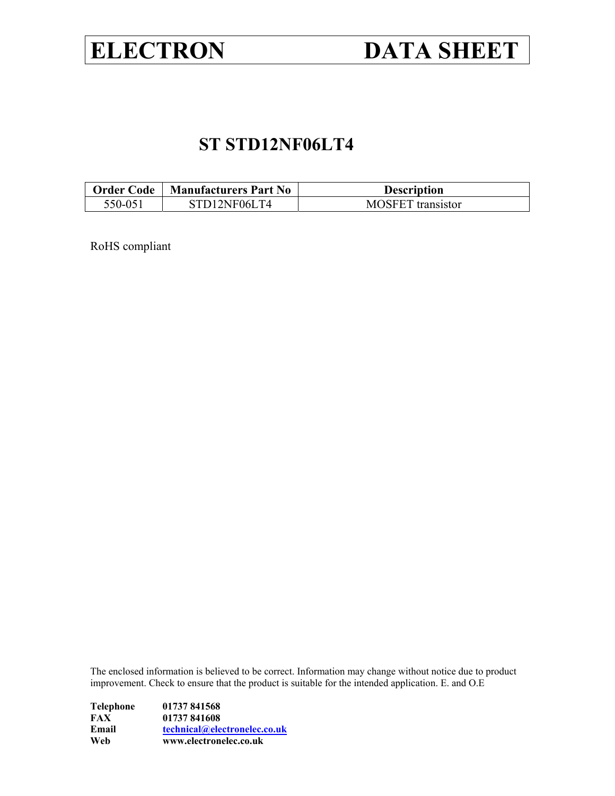# **ELECTRON DATA SHEET**

# **ST STD12NF06LT4**

| <b>Order Code</b> | <b>Manufacturers Part No</b> | <b>Description</b>       |
|-------------------|------------------------------|--------------------------|
| 550-051           | STD12NF06LT4                 | <b>MOSFET</b> transistor |

RoHS compliant

The enclosed information is believed to be correct. Information may change without notice due to product improvement. Check to ensure that the product is suitable for the intended application. E. and O.E

| Web       | www.electronelec.co.uk       |
|-----------|------------------------------|
| Email     | technical@electronelec.co.uk |
| FAX       | 01737 841608                 |
| Telephone | 01737 841568                 |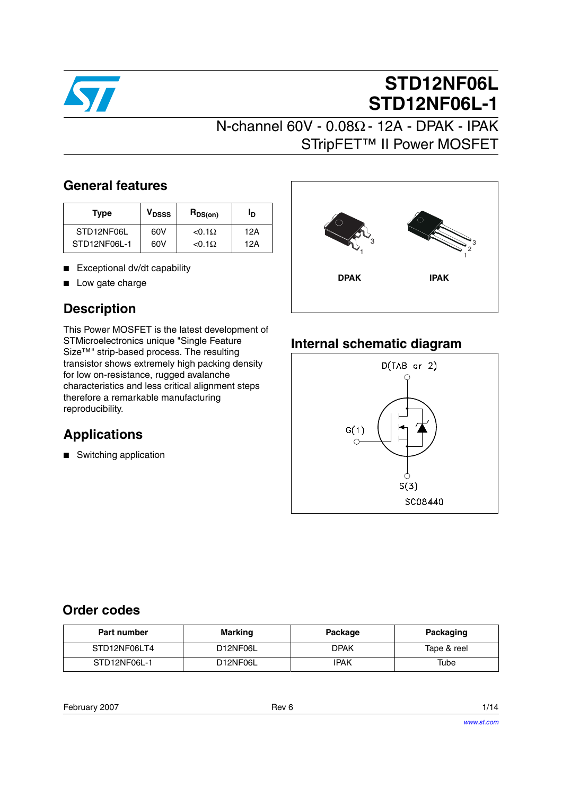

# **STD12NF06L STD12NF06L-1**

## **General features**

| Type         | V <sub>DSSS</sub> | $R_{DS(on)}$   | חי  |
|--------------|-------------------|----------------|-----|
| STD12NF06L   | 60V               | $< 0.1 \Omega$ | 12A |
| STD12NF06L-1 | 60V               | $< 0.1 \Omega$ | 12A |

- Exceptional dv/dt capability
- Low gate charge

# **Description**

This Power MOSFET is the latest development of STMicroelectronics unique "Single Feature Size™" strip-based process. The resulting transistor shows extremely high packing density for low on-resistance, rugged avalanche characteristics and less critical alignment steps therefore a remarkable manufacturing reproducibility.

# **Applications**

■ Switching application



## **Internal schematic diagram**



## **Order codes**

| Part number  | Marking  | Package | Packaging   |
|--------------|----------|---------|-------------|
| STD12NF06LT4 | D12NF06L | DPAK    | Tape & reel |
| STD12NF06L-1 | D12NF06L | IPAK    | Tube        |

February 2007 **Rev 6** 1/14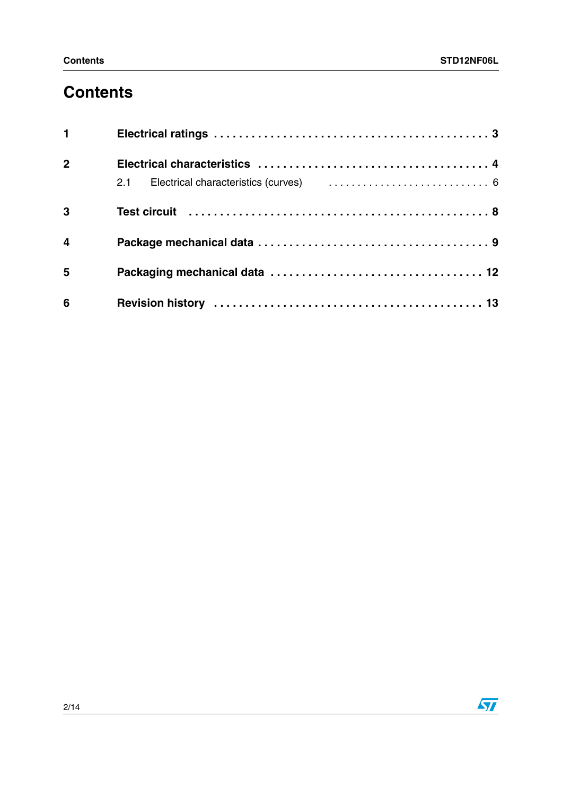# **Contents**

| $1 \quad \cdots$        |  |
|-------------------------|--|
| $\overline{2}$          |  |
|                         |  |
| $\mathbf{3}$            |  |
| $\overline{\mathbf{4}}$ |  |
| 5                       |  |
| $6\phantom{a}$          |  |

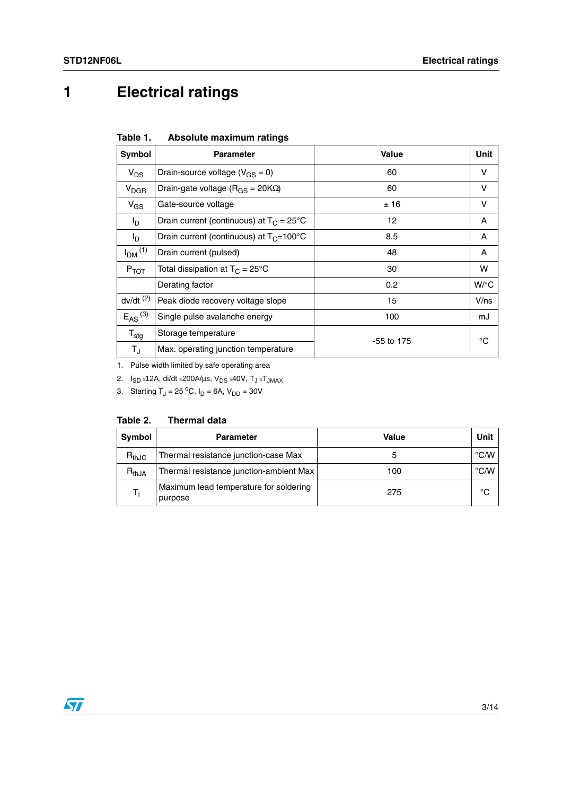# <span id="page-3-0"></span>**1 Electrical ratings**

| Table 1. |  | Absolute maximum ratings |  |
|----------|--|--------------------------|--|
|----------|--|--------------------------|--|

| <b>Symbol</b>           | <b>Parameter</b>                                   | Value        | Unit    |
|-------------------------|----------------------------------------------------|--------------|---------|
| $V_{DS}$                | Drain-source voltage ( $V_{GS} = 0$ )              | 60           | v       |
| <b>V<sub>DGR</sub></b>  | Drain-gate voltage ( $R_{GS}$ = 20K $\Omega$ )     | 60           | v       |
| $V_{GS}$                | Gate-source voltage                                | ±16          | V       |
| I <sub>D</sub>          | Drain current (continuous) at $T_C = 25^{\circ}C$  | 12           | A       |
| I <sub>D</sub>          | Drain current (continuous) at $T_C = 100^{\circ}C$ | 8.5          | A       |
| $IDM$ <sup>(1)</sup>    | Drain current (pulsed)                             | 48           | A       |
| $P_{TOT}$               | Total dissipation at $T_C = 25^{\circ}C$           | 30           | W       |
|                         | Derating factor                                    | 0.2          | $W$ /°C |
| $dv/dt$ <sup>(2)</sup>  | Peak diode recovery voltage slope                  | 15           | $V$ /ns |
| $E_{AS}$ <sup>(3)</sup> | Single pulse avalanche energy                      | 100          | mJ      |
| $T_{\text{stq}}$        | Storage temperature                                | $-55$ to 175 | °C      |
| $T_{\rm J}$             | Max. operating junction temperature                |              |         |

1. Pulse width limited by safe operating area

2.  $I_{SD}$  ≤12A, di/dt ≤200A/µs, V<sub>DS</sub> ≤40V, T<sub>J</sub> ≤T<sub>JMAX</sub>

3. Starting  $T_J = 25 \, {}^{\circ}C$ ,  $I_D = 6A$ ,  $V_{DD} = 30V$ 

| Symbol     | <b>Parameter</b>                                  | Value | Unit               |
|------------|---------------------------------------------------|-------|--------------------|
| $R_{thJC}$ | Thermal resistance junction-case Max              | 5     | $\rm ^{\circ}$ C/W |
| $R_{thJA}$ | Thermal resistance junction-ambient Max           | 100   | $\degree$ C/W      |
|            | Maximum lead temperature for soldering<br>purpose | 275   | °C                 |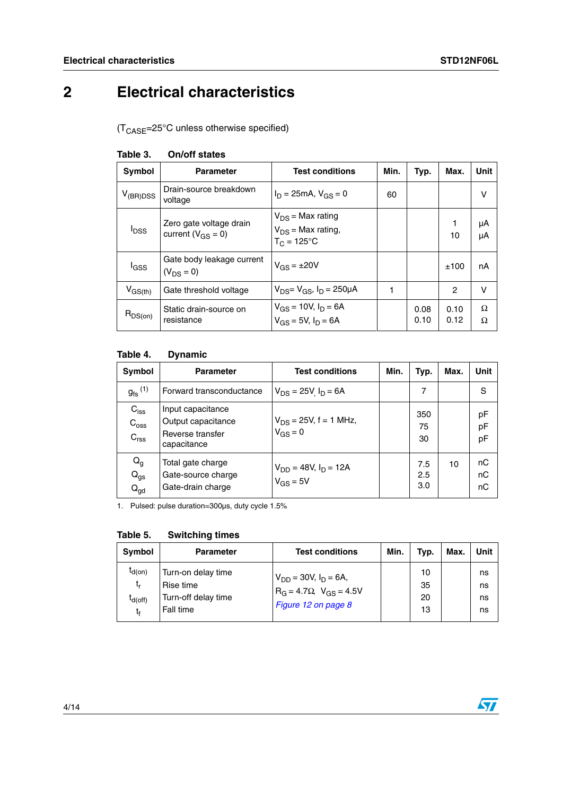# <span id="page-4-0"></span>**2 Electrical characteristics**

 $(T_{\text{CASE}} = 25^{\circ} \text{C}$  unless otherwise specified)

| Symbol        | <b>Parameter</b>                                    | <b>Test conditions</b>                                            | Min. | Typ.         | Max.           | Unit     |
|---------------|-----------------------------------------------------|-------------------------------------------------------------------|------|--------------|----------------|----------|
| $V_{(BR)DSS}$ | Drain-source breakdown<br>voltage                   | $I_D = 25mA$ , $V_{GS} = 0$                                       | 60   |              |                | V        |
| $I_{DSS}$     | Zero gate voltage drain<br>current ( $V_{GS} = 0$ ) | $V_{DS}$ = Max rating<br>$V_{DS}$ = Max rating,<br>$T_c = 125$ °C |      |              | 1<br>10        | μA<br>μA |
| lgss          | Gate body leakage current<br>$(V_{DS} = 0)$         | $V_{GS} = \pm 20V$                                                |      |              | ±100           | nA       |
| $V_{GS(th)}$  | Gate threshold voltage                              | $V_{DS} = V_{GS}$ , $I_D = 250 \mu A$                             |      |              | $\overline{c}$ | $\vee$   |
| $R_{DS(on)}$  | Static drain-source on<br>resistance                | $V_{GS}$ = 10V, $I_D$ = 6A<br>$V_{GS}$ = 5V, $I_D$ = 6A           |      | 0.08<br>0.10 | 0.10<br>0.12   | Ω<br>Ω   |

## **Table 3. On/off states**

### **Table 4. Dynamic**

| Symbol                                                   | <b>Parameter</b>                                                           | <b>Test conditions</b>                     | Min. | Typ.              | Max. | Unit           |
|----------------------------------------------------------|----------------------------------------------------------------------------|--------------------------------------------|------|-------------------|------|----------------|
| $g_{\text{fs}}^{(1)}$                                    | Forward transconductance                                                   | $V_{DS}$ = 25V $I_D$ = 6A                  |      | 7                 |      | S              |
| $C_{\text{iss}}$<br>$C_{\text{oss}}$<br>$C_{\text{rss}}$ | Input capacitance<br>Output capacitance<br>Reverse transfer<br>capacitance | $V_{DS}$ = 25V, f = 1 MHz,<br>$V_{GS} = 0$ |      | 350<br>75<br>30   |      | pF<br>pF<br>pF |
| $Q_g$<br>$Q_{gs}$<br>$Q_{gd}$                            | Total gate charge<br>Gate-source charge<br>Gate-drain charge               | $V_{DD} = 48V, I_D = 12A$<br>$V_{GS} = 5V$ |      | 7.5<br>2.5<br>3.0 | 10   | nC<br>nC<br>nC |

1. Pulsed: pulse duration=300µs, duty cycle 1.5%

**Table 5. Switching times**

| Symbol                                  | <b>Parameter</b>                                                    | <b>Test conditions</b>                                                                        | Min. | Typ.                 | Max. | Unit                 |
|-----------------------------------------|---------------------------------------------------------------------|-----------------------------------------------------------------------------------------------|------|----------------------|------|----------------------|
| $I_{d(on)}$<br>t,<br>$I_{d(off)}$<br>t, | Turn-on delay time<br>Rise time<br>Turn-off delay time<br>Fall time | $V_{DD} = 30V$ , $I_D = 6A$ ,<br>$R_G = 4.7 \Omega$ , $V_{GS} = 4.5 V$<br>Figure 12 on page 8 |      | 10<br>35<br>20<br>13 |      | ns<br>ns<br>ns<br>ns |

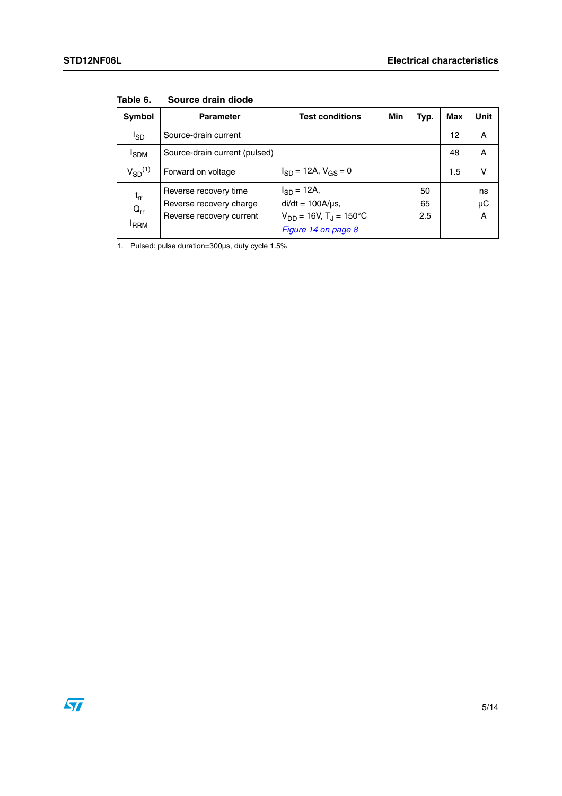| Symbol                                   | <b>Parameter</b>                                                             | <b>Test conditions</b>                                                                                       | Min | Typ.            | Max | Unit          |
|------------------------------------------|------------------------------------------------------------------------------|--------------------------------------------------------------------------------------------------------------|-----|-----------------|-----|---------------|
| I <sub>SD</sub>                          | Source-drain current                                                         |                                                                                                              |     |                 | 12  | A             |
| <b>I</b> SDM                             | Source-drain current (pulsed)                                                |                                                                                                              |     |                 | 48  | A             |
| $V_{SD}$ <sup>(1)</sup>                  | Forward on voltage                                                           | $I_{SD}$ = 12A, $V_{GS}$ = 0                                                                                 |     |                 | 1.5 | v             |
| $t_{rr}$<br>$Q_{rr}$<br><sup>I</sup> RRM | Reverse recovery time<br>Reverse recovery charge<br>Reverse recovery current | $I_{SD} = 12A$ ,<br>$di/dt = 100A/\mu s$ ,<br>$V_{DD} = 16V$ , T <sub>J</sub> = 150°C<br>Figure 14 on page 8 |     | 50<br>65<br>2.5 |     | ns<br>μC<br>A |

**Table 6. Source drain diode**

1. Pulsed: pulse duration=300µs, duty cycle 1.5%

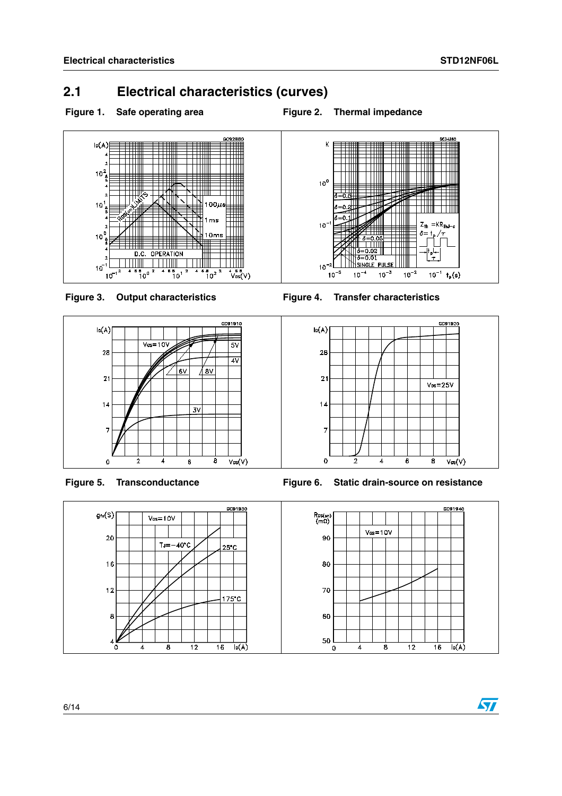## <span id="page-6-0"></span>**2.1 Electrical characteristics (curves)**

## Figure 1. Safe operating area **Figure 2. Thermal impedance**















 $\sqrt{27}$ 



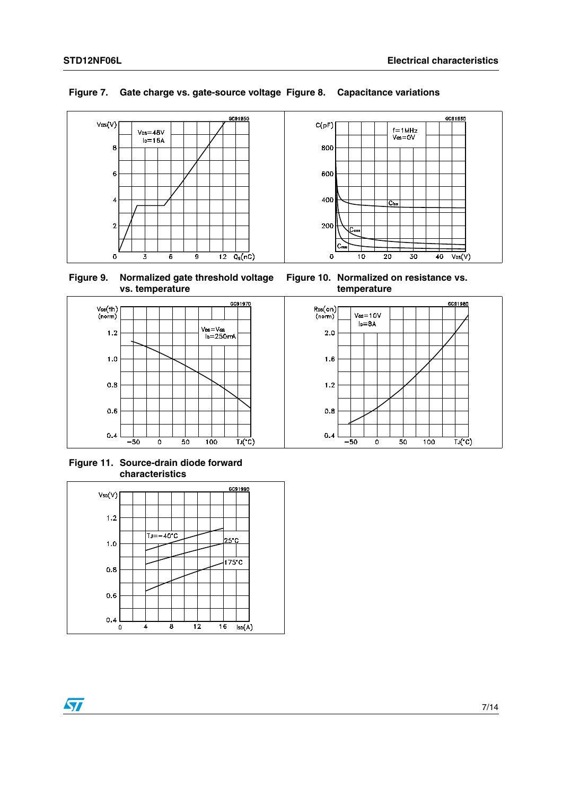

## **Figure 7. Gate charge vs. gate-source voltage Figure 8. Capacitance variations**





**Figure 11. Source-drain diode forward characteristics**





**Figure 10. Normalized on resistance vs. temperature**



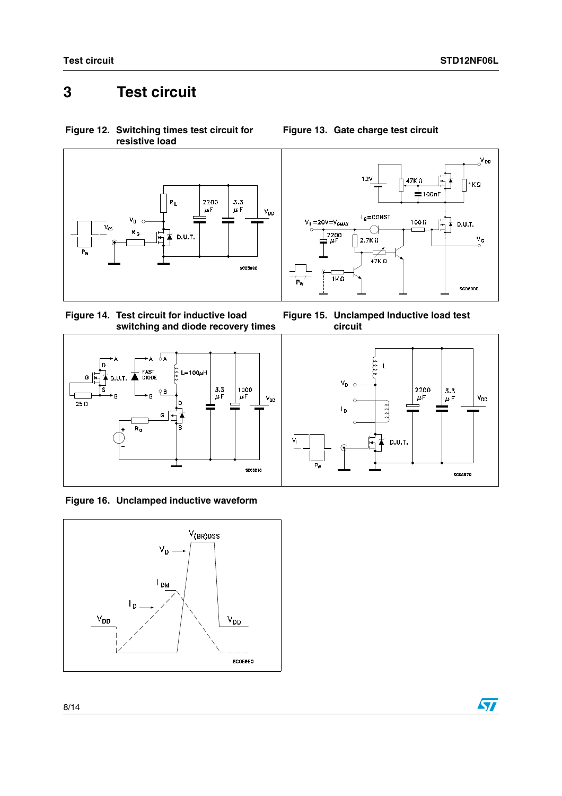$\alpha^{V}$ DD

 $1K\Omega$ 

 $\frac{v_c}{c}$ 

 $\downarrow$  D.U.T.

# <span id="page-8-0"></span>**3 Test circuit**

<span id="page-8-1"></span>**Figure 12. Switching times test circuit for resistive load**



<span id="page-8-2"></span>



**circuit**

 $\frac{1}{1K}$ 

 $V_i = 20V = V_{GMA}$ 

2200







 $\sqrt{2}$ 

## **Figure 13. Gate charge test circuit**

 $12V$ 

 $I_G = \text{CONST}$ 

O

 $\overline{\phantom{a}}$  $47K$   $\Omega$ 

2.7K $\Omega$ 

47K Ω

100 $\Omega$ 

100nF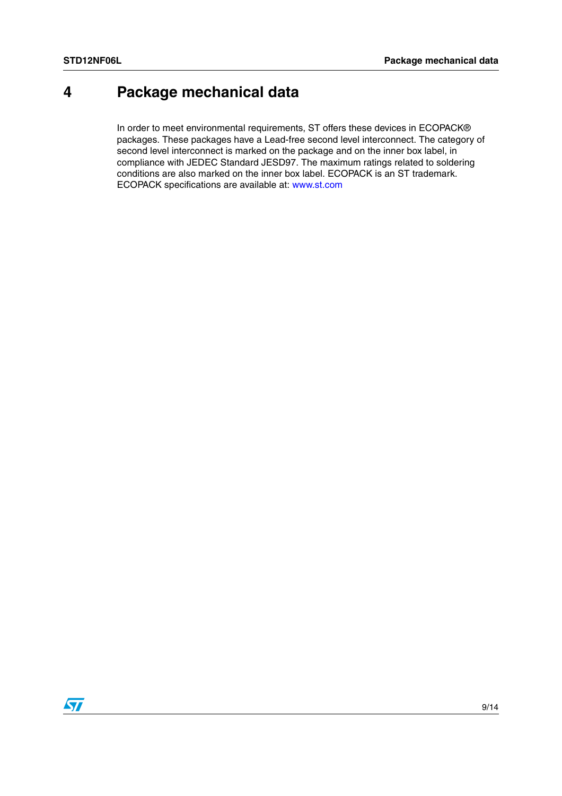# <span id="page-9-0"></span>**4 Package mechanical data**

In order to meet environmental requirements, ST offers these devices in ECOPACK® packages. These packages have a Lead-free second level interconnect. The category of second level interconnect is marked on the package and on the inner box label, in compliance with JEDEC Standard JESD97. The maximum ratings related to soldering conditions are also marked on the inner box label. ECOPACK is an ST trademark. ECOPACK specifications are available at: www.st.com

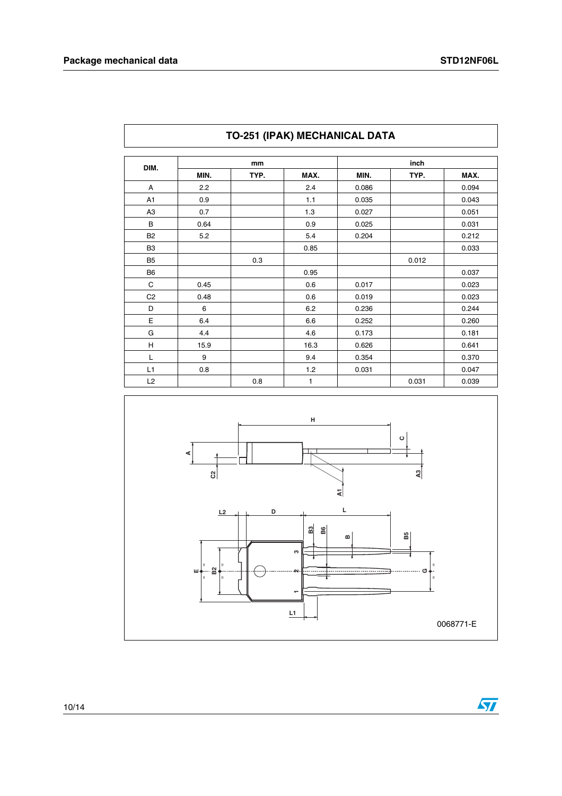| DIM.           | mm   |      |      | inch  |       |       |  |
|----------------|------|------|------|-------|-------|-------|--|
|                | MIN. | TYP. | MAX. | MIN.  | TYP.  | MAX.  |  |
| A              | 2.2  |      | 2.4  | 0.086 |       | 0.094 |  |
| A <sub>1</sub> | 0.9  |      | 1.1  | 0.035 |       | 0.043 |  |
| A <sub>3</sub> | 0.7  |      | 1.3  | 0.027 |       | 0.051 |  |
| B              | 0.64 |      | 0.9  | 0.025 |       | 0.031 |  |
| <b>B2</b>      | 5.2  |      | 5.4  | 0.204 |       | 0.212 |  |
| B <sub>3</sub> |      |      | 0.85 |       |       | 0.033 |  |
| B <sub>5</sub> |      | 0.3  |      |       | 0.012 |       |  |
| B <sub>6</sub> |      |      | 0.95 |       |       | 0.037 |  |
| C              | 0.45 |      | 0.6  | 0.017 |       | 0.023 |  |
| C <sub>2</sub> | 0.48 |      | 0.6  | 0.019 |       | 0.023 |  |
| D              | 6    |      | 6.2  | 0.236 |       | 0.244 |  |
| E              | 6.4  |      | 6.6  | 0.252 |       | 0.260 |  |
| G              | 4.4  |      | 4.6  | 0.173 |       | 0.181 |  |
| Н              | 15.9 |      | 16.3 | 0.626 |       | 0.641 |  |
| L              | 9    |      | 9.4  | 0.354 |       | 0.370 |  |
| L1             | 0.8  |      | 1.2  | 0.031 |       | 0.047 |  |
| L2             |      | 0.8  | 1    |       | 0.031 | 0.039 |  |

## **TO-251 (IPAK) MECHANICAL DATA**



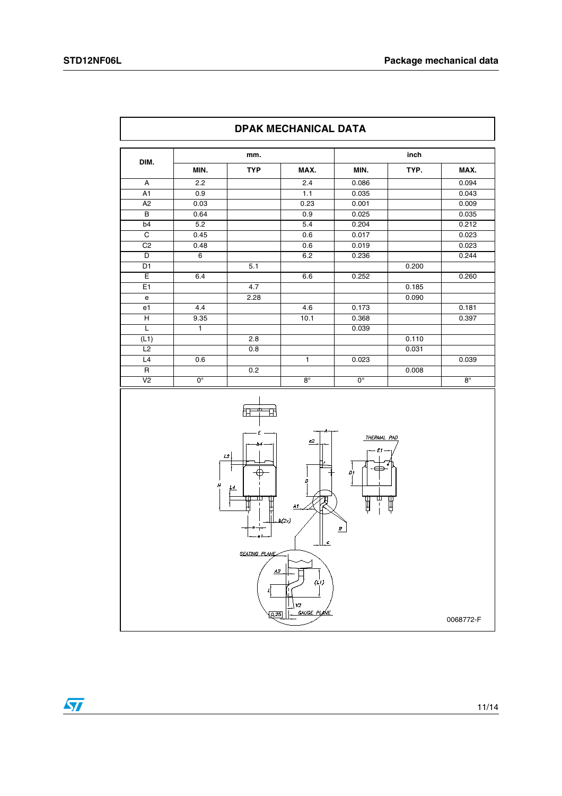$\overline{\Gamma}$ 

| <b>TYP</b><br>MIN.<br>MAX.<br>MIN.<br>TYP.<br>MAX.<br>2.2<br>2.4<br>A<br>0.086<br>A1<br>0.9<br>1.1<br>0.035<br>0.043<br>0.23<br>0.001<br>0.009<br>A <sub>2</sub><br>0.03<br>В<br>0.64<br>0.9<br>0.025<br>0.035<br>5.2<br>b <sub>4</sub><br>5.4<br>0.204<br>0.212<br>$\overline{C}$<br>0.45<br>0.017<br>0.023<br>0.6<br>C <sub>2</sub><br>0.48<br>0.6<br>0.019<br>0.023<br>$6\overline{6}$<br>D<br>6.2<br>0.236<br>0.244<br>D <sub>1</sub><br>5.1<br>0.200<br>Ε<br>0.252<br>6.4<br>6.6<br>E1<br>4.7<br>0.185<br>2.28<br>0.090<br>e<br>e1<br>4.4<br>4.6<br>0.173<br>0.181<br>H<br>9.35<br>10.1<br>0.397<br>0.368<br>τ<br>$\mathbf{1}$<br>0.039<br>(L1)<br>0.110<br>2.8<br>L2<br>0.8<br>0.031<br>L4<br>0.6<br>$\mathbf{1}$<br>0.023<br>0.039<br>$\mathsf{R}$<br>0.2<br>0.008<br>V <sub>2</sub><br>$0^{\circ}$<br>$8^\circ$<br>0°<br>$8^\circ$<br>圧<br>Ε<br>THERMAL PAD<br>$\underline{c2}$<br>b4<br>Ε<br>$\mathcal{L}2$<br>Ď1<br>D<br>Н<br>L4<br>ш<br>뿌<br>H<br>$\mathbf{I}$<br>A1.<br>b(2x)<br>R | DIM. | inch<br>mm. |  |               |  |  |       |
|------------------------------------------------------------------------------------------------------------------------------------------------------------------------------------------------------------------------------------------------------------------------------------------------------------------------------------------------------------------------------------------------------------------------------------------------------------------------------------------------------------------------------------------------------------------------------------------------------------------------------------------------------------------------------------------------------------------------------------------------------------------------------------------------------------------------------------------------------------------------------------------------------------------------------------------------------------------------------------------------|------|-------------|--|---------------|--|--|-------|
|                                                                                                                                                                                                                                                                                                                                                                                                                                                                                                                                                                                                                                                                                                                                                                                                                                                                                                                                                                                                |      |             |  |               |  |  |       |
|                                                                                                                                                                                                                                                                                                                                                                                                                                                                                                                                                                                                                                                                                                                                                                                                                                                                                                                                                                                                |      |             |  |               |  |  | 0.094 |
|                                                                                                                                                                                                                                                                                                                                                                                                                                                                                                                                                                                                                                                                                                                                                                                                                                                                                                                                                                                                |      |             |  |               |  |  |       |
|                                                                                                                                                                                                                                                                                                                                                                                                                                                                                                                                                                                                                                                                                                                                                                                                                                                                                                                                                                                                |      |             |  |               |  |  |       |
|                                                                                                                                                                                                                                                                                                                                                                                                                                                                                                                                                                                                                                                                                                                                                                                                                                                                                                                                                                                                |      |             |  |               |  |  |       |
|                                                                                                                                                                                                                                                                                                                                                                                                                                                                                                                                                                                                                                                                                                                                                                                                                                                                                                                                                                                                |      |             |  |               |  |  |       |
|                                                                                                                                                                                                                                                                                                                                                                                                                                                                                                                                                                                                                                                                                                                                                                                                                                                                                                                                                                                                |      |             |  |               |  |  |       |
|                                                                                                                                                                                                                                                                                                                                                                                                                                                                                                                                                                                                                                                                                                                                                                                                                                                                                                                                                                                                |      |             |  |               |  |  |       |
|                                                                                                                                                                                                                                                                                                                                                                                                                                                                                                                                                                                                                                                                                                                                                                                                                                                                                                                                                                                                |      |             |  |               |  |  |       |
|                                                                                                                                                                                                                                                                                                                                                                                                                                                                                                                                                                                                                                                                                                                                                                                                                                                                                                                                                                                                |      |             |  |               |  |  |       |
|                                                                                                                                                                                                                                                                                                                                                                                                                                                                                                                                                                                                                                                                                                                                                                                                                                                                                                                                                                                                |      |             |  |               |  |  | 0.260 |
|                                                                                                                                                                                                                                                                                                                                                                                                                                                                                                                                                                                                                                                                                                                                                                                                                                                                                                                                                                                                |      |             |  |               |  |  |       |
|                                                                                                                                                                                                                                                                                                                                                                                                                                                                                                                                                                                                                                                                                                                                                                                                                                                                                                                                                                                                |      |             |  |               |  |  |       |
|                                                                                                                                                                                                                                                                                                                                                                                                                                                                                                                                                                                                                                                                                                                                                                                                                                                                                                                                                                                                |      |             |  |               |  |  |       |
|                                                                                                                                                                                                                                                                                                                                                                                                                                                                                                                                                                                                                                                                                                                                                                                                                                                                                                                                                                                                |      |             |  |               |  |  |       |
|                                                                                                                                                                                                                                                                                                                                                                                                                                                                                                                                                                                                                                                                                                                                                                                                                                                                                                                                                                                                |      |             |  |               |  |  |       |
|                                                                                                                                                                                                                                                                                                                                                                                                                                                                                                                                                                                                                                                                                                                                                                                                                                                                                                                                                                                                |      |             |  |               |  |  |       |
|                                                                                                                                                                                                                                                                                                                                                                                                                                                                                                                                                                                                                                                                                                                                                                                                                                                                                                                                                                                                |      |             |  |               |  |  |       |
|                                                                                                                                                                                                                                                                                                                                                                                                                                                                                                                                                                                                                                                                                                                                                                                                                                                                                                                                                                                                |      |             |  |               |  |  |       |
|                                                                                                                                                                                                                                                                                                                                                                                                                                                                                                                                                                                                                                                                                                                                                                                                                                                                                                                                                                                                |      |             |  |               |  |  |       |
|                                                                                                                                                                                                                                                                                                                                                                                                                                                                                                                                                                                                                                                                                                                                                                                                                                                                                                                                                                                                |      |             |  |               |  |  |       |
|                                                                                                                                                                                                                                                                                                                                                                                                                                                                                                                                                                                                                                                                                                                                                                                                                                                                                                                                                                                                |      |             |  | $\frac{c}{c}$ |  |  |       |

**DPAK MECHANICAL DATA**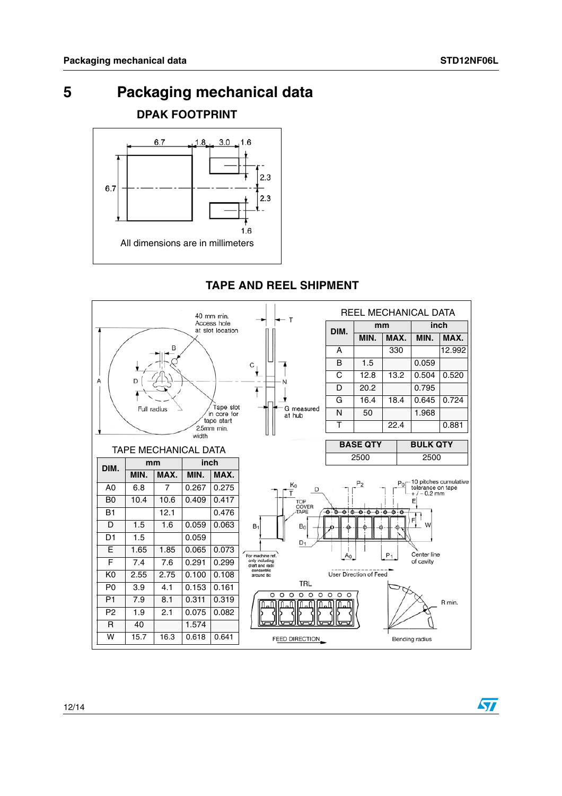57

# <span id="page-12-0"></span>**5 Packaging mechanical data**

**DPAK FOOTPRINT**



## **TAPE AND REEL SHIPMENT**

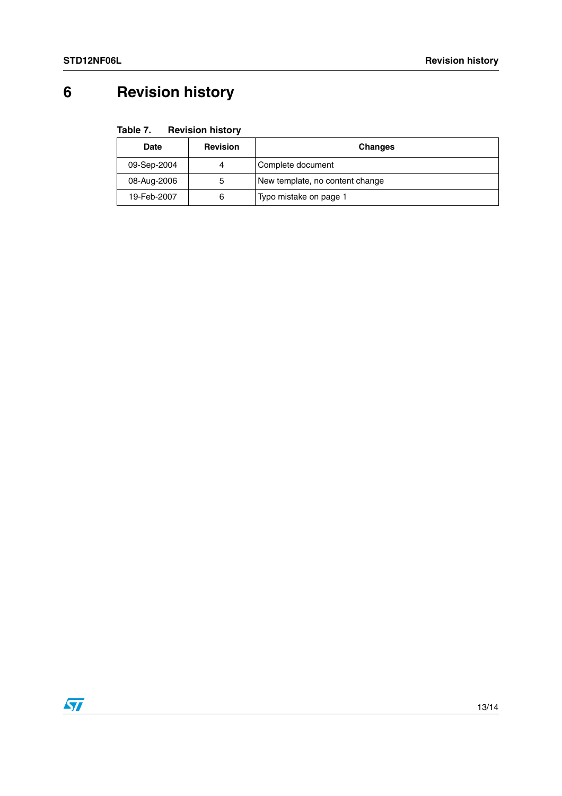# <span id="page-13-0"></span>**6 Revision history**

| Date        | <b>Revision</b> | <b>Changes</b>                  |
|-------------|-----------------|---------------------------------|
| 09-Sep-2004 | 4               | Complete document               |
| 08-Aug-2006 | 5               | New template, no content change |
| 19-Feb-2007 | 6               | Typo mistake on page 1          |